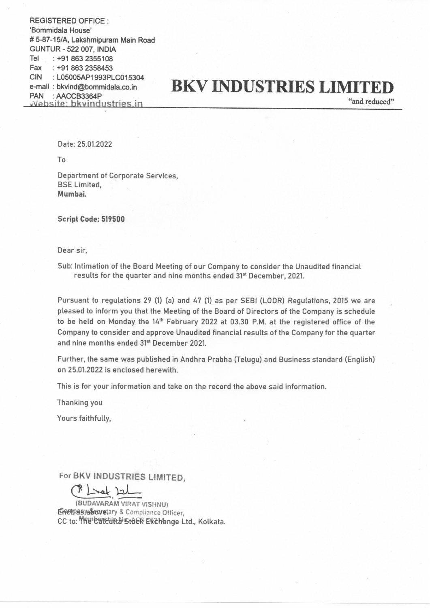REGISTERED OFFICE : 'Bommidala House' # 5-87-15/A, Lakshmipuram Main Road GUNTUR - 522 007, INDIA Tel : +91 863 2355108 Fax :+91 863 2358453 CIN :LO5005AP1993PLC015304 e-mail : bkvind@bommidala.co.in PAN : AACCB3364P<br>vebsite: bkvindustries.in

## BKV INDUSTRIES LIMITED

"and reduced"

Date: 25.01.2022

To

Department of Corporate Services, BSE Limited, Mumbai.

Script Code: 519500

Dear sir,

Sub: Intimation of the Board Meeting of our Company to consider the Unaudited financial results for the quarter and nine months ended 31\* December, 2021.

Pursuant to regulations 29 (1) (a) and 47 (1) as per SEBI (LODR) Regulations, 2015 we are pleased to inform you that the Meeting of the Board of Directors of the Company is schedule to be held on Monday the 14" February 2022 at 03.30 P.M. at the registered office of the Company to consider and approve Unaudited financial results of the Company for the quarter and nine months ended 31<sup>st</sup> December 2021.

Further, the same was published in Andhra Prabha (Telugu) and Business standard (English) on 25.01.2022 is enclosed herewith.

This is for your information and take on the record the above said information.

Thanking you

Yours faithfully,

For BKV INDUSTRIES LIMITED,

P Linat Izl

(BUDAVARAM VIRAT VISHNU) Eipetpasyabovetary & Compliance Officer, CC to: MRE CARTURE STOER EXZTHange Ltd., Kolkata.